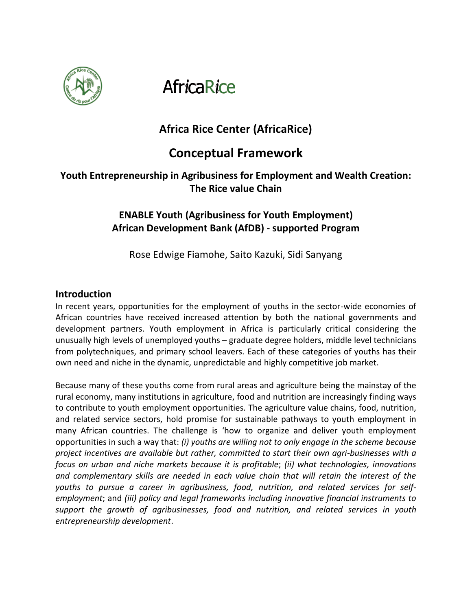

**AfricaRice** 

# **Africa Rice Center (AfricaRice)**

# **Conceptual Framework**

# **Youth Entrepreneurship in Agribusiness for Employment and Wealth Creation: The Rice value Chain**

## **ENABLE Youth (Agribusiness for Youth Employment) African Development Bank (AfDB) - supported Program**

Rose Edwige Fiamohe, Saito Kazuki, Sidi Sanyang

### **Introduction**

In recent years, opportunities for the employment of youths in the sector-wide economies of African countries have received increased attention by both the national governments and development partners. Youth employment in Africa is particularly critical considering the unusually high levels of unemployed youths – graduate degree holders, middle level technicians from polytechniques, and primary school leavers. Each of these categories of youths has their own need and niche in the dynamic, unpredictable and highly competitive job market.

Because many of these youths come from rural areas and agriculture being the mainstay of the rural economy, many institutions in agriculture, food and nutrition are increasingly finding ways to contribute to youth employment opportunities. The agriculture value chains, food, nutrition, and related service sectors, hold promise for sustainable pathways to youth employment in many African countries. The challenge is 'how to organize and deliver youth employment opportunities in such a way that: *(i) youths are willing not to only engage in the scheme because project incentives are available but rather, committed to start their own agri-businesses with a focus on urban and niche markets because it is profitable*; *(ii) what technologies, innovations and complementary skills are needed in each value chain that will retain the interest of the youths to pursue a career in agribusiness, food, nutrition, and related services for selfemployment*; and *(iii) policy and legal frameworks including innovative financial instruments to support the growth of agribusinesses, food and nutrition, and related services in youth entrepreneurship development*.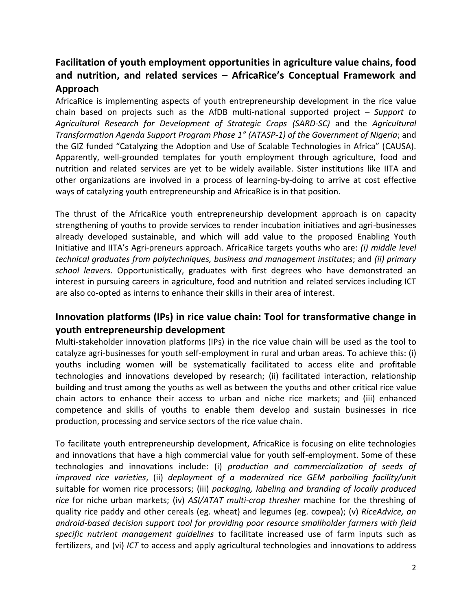# **Facilitation of youth employment opportunities in agriculture value chains, food and nutrition, and related services – AfricaRice's Conceptual Framework and Approach**

AfricaRice is implementing aspects of youth entrepreneurship development in the rice value chain based on projects such as the AfDB multi-national supported project – *Support to Agricultural Research for Development of Strategic Crops (SARD-SC)* and the *Agricultural Transformation Agenda Support Program Phase 1" (ATASP-1) of the Government of Nigeria*; and the GIZ funded "Catalyzing the Adoption and Use of Scalable Technologies in Africa" (CAUSA). Apparently, well-grounded templates for youth employment through agriculture, food and nutrition and related services are yet to be widely available. Sister institutions like IITA and other organizations are involved in a process of learning-by-doing to arrive at cost effective ways of catalyzing youth entrepreneurship and AfricaRice is in that position.

The thrust of the AfricaRice youth entrepreneurship development approach is on capacity strengthening of youths to provide services to render incubation initiatives and agri-businesses already developed sustainable, and which will add value to the proposed Enabling Youth Initiative and IITA's Agri-preneurs approach. AfricaRice targets youths who are: *(i) middle level technical graduates from polytechniques, business and management institutes*; and *(ii) primary school leavers*. Opportunistically, graduates with first degrees who have demonstrated an interest in pursuing careers in agriculture, food and nutrition and related services including ICT are also co-opted as interns to enhance their skills in their area of interest.

## **Innovation platforms (IPs) in rice value chain: Tool for transformative change in youth entrepreneurship development**

Multi-stakeholder innovation platforms (IPs) in the rice value chain will be used as the tool to catalyze agri-businesses for youth self-employment in rural and urban areas. To achieve this: (i) youths including women will be systematically facilitated to access elite and profitable technologies and innovations developed by research; (ii) facilitated interaction, relationship building and trust among the youths as well as between the youths and other critical rice value chain actors to enhance their access to urban and niche rice markets; and (iii) enhanced competence and skills of youths to enable them develop and sustain businesses in rice production, processing and service sectors of the rice value chain.

To facilitate youth entrepreneurship development, AfricaRice is focusing on elite technologies and innovations that have a high commercial value for youth self-employment. Some of these technologies and innovations include: (i) *production and commercialization of seeds of improved rice varieties*, (ii) *deployment of a modernized rice GEM parboiling facility/unit* suitable for women rice processors; (iii) *packaging, labeling and branding of locally produced rice* for niche urban markets; (iv) *ASI/ATAT multi-crop thresher* machine for the threshing of quality rice paddy and other cereals (eg. wheat) and legumes (eg. cowpea); (v) *RiceAdvice, an android-based decision support tool for providing poor resource smallholder farmers with field specific nutrient management guidelines* to facilitate increased use of farm inputs such as fertilizers, and (vi) *ICT* to access and apply agricultural technologies and innovations to address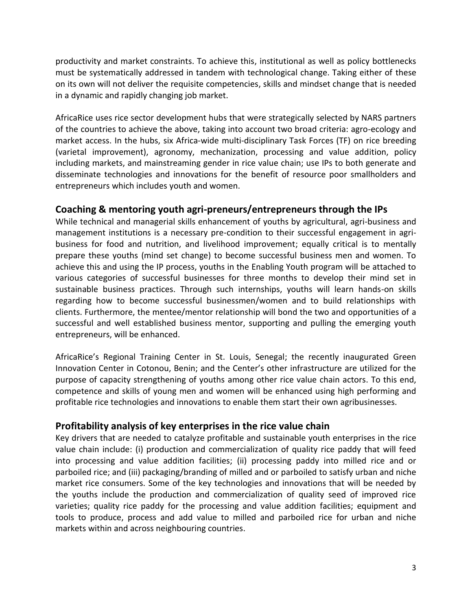productivity and market constraints. To achieve this, institutional as well as policy bottlenecks must be systematically addressed in tandem with technological change. Taking either of these on its own will not deliver the requisite competencies, skills and mindset change that is needed in a dynamic and rapidly changing job market.

AfricaRice uses rice sector development hubs that were strategically selected by NARS partners of the countries to achieve the above, taking into account two broad criteria: agro-ecology and market access. In the hubs, six Africa-wide multi-disciplinary Task Forces (TF) on rice breeding (varietal improvement), agronomy, mechanization, processing and value addition, policy including markets, and mainstreaming gender in rice value chain; use IPs to both generate and disseminate technologies and innovations for the benefit of resource poor smallholders and entrepreneurs which includes youth and women.

### **Coaching & mentoring youth agri-preneurs/entrepreneurs through the IPs**

While technical and managerial skills enhancement of youths by agricultural, agri-business and management institutions is a necessary pre-condition to their successful engagement in agribusiness for food and nutrition, and livelihood improvement; equally critical is to mentally prepare these youths (mind set change) to become successful business men and women. To achieve this and using the IP process, youths in the Enabling Youth program will be attached to various categories of successful businesses for three months to develop their mind set in sustainable business practices. Through such internships, youths will learn hands-on skills regarding how to become successful businessmen/women and to build relationships with clients. Furthermore, the mentee/mentor relationship will bond the two and opportunities of a successful and well established business mentor, supporting and pulling the emerging youth entrepreneurs, will be enhanced.

AfricaRice's Regional Training Center in St. Louis, Senegal; the recently inaugurated Green Innovation Center in Cotonou, Benin; and the Center's other infrastructure are utilized for the purpose of capacity strengthening of youths among other rice value chain actors. To this end, competence and skills of young men and women will be enhanced using high performing and profitable rice technologies and innovations to enable them start their own agribusinesses.

### **Profitability analysis of key enterprises in the rice value chain**

Key drivers that are needed to catalyze profitable and sustainable youth enterprises in the rice value chain include: (i) production and commercialization of quality rice paddy that will feed into processing and value addition facilities; (ii) processing paddy into milled rice and or parboiled rice; and (iii) packaging/branding of milled and or parboiled to satisfy urban and niche market rice consumers. Some of the key technologies and innovations that will be needed by the youths include the production and commercialization of quality seed of improved rice varieties; quality rice paddy for the processing and value addition facilities; equipment and tools to produce, process and add value to milled and parboiled rice for urban and niche markets within and across neighbouring countries.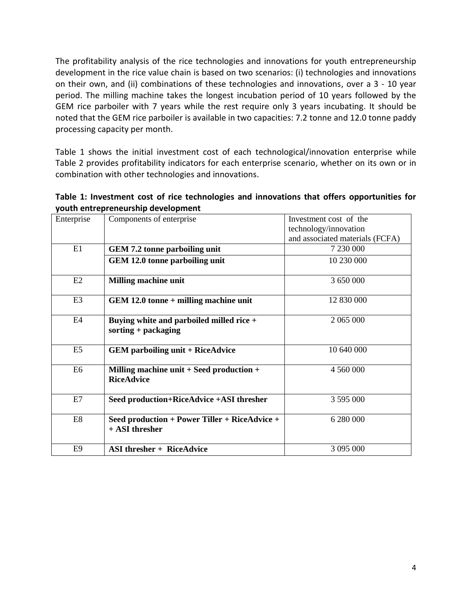The profitability analysis of the rice technologies and innovations for youth entrepreneurship development in the rice value chain is based on two scenarios: (i) technologies and innovations on their own, and (ii) combinations of these technologies and innovations, over a 3 - 10 year period. The milling machine takes the longest incubation period of 10 years followed by the GEM rice parboiler with 7 years while the rest require only 3 years incubating. It should be noted that the GEM rice parboiler is available in two capacities: 7.2 tonne and 12.0 tonne paddy processing capacity per month.

Table 1 shows the initial investment cost of each technological/innovation enterprise while Table 2 provides profitability indicators for each enterprise scenario, whether on its own or in combination with other technologies and innovations.

| Table 1: Investment cost of rice technologies and innovations that offers opportunities for |  |  |
|---------------------------------------------------------------------------------------------|--|--|
| youth entrepreneurship development                                                          |  |  |

| Enterprise     | Components of enterprise                                          | Investment cost of the          |  |
|----------------|-------------------------------------------------------------------|---------------------------------|--|
|                |                                                                   | technology/innovation           |  |
|                |                                                                   | and associated materials (FCFA) |  |
| E1             | <b>GEM 7.2 tonne parboiling unit</b>                              | 7 230 000                       |  |
|                | GEM 12.0 tonne parboiling unit                                    | 10 230 000                      |  |
| E2             | <b>Milling machine unit</b>                                       | 3 650 000                       |  |
| E <sub>3</sub> | GEM 12.0 tonne + milling machine unit                             | 12 830 000                      |  |
| E4             | Buying white and parboiled milled rice +<br>sorting $+$ packaging | 2 065 000                       |  |
| E <sub>5</sub> | <b>GEM</b> parboiling unit + RiceAdvice                           | 10 640 000                      |  |
| E <sub>6</sub> | Milling machine unit $+$ Seed production $+$<br><b>RiceAdvice</b> | 4 560 000                       |  |
| E7             | Seed production+RiceAdvice +ASI thresher                          | 3 595 000                       |  |
| E8             | Seed production + Power Tiller + RiceAdvice +<br>+ ASI thresher   | 6 280 000                       |  |
| E <sub>9</sub> | <b>ASI</b> thresher + RiceAdvice                                  | 3 095 000                       |  |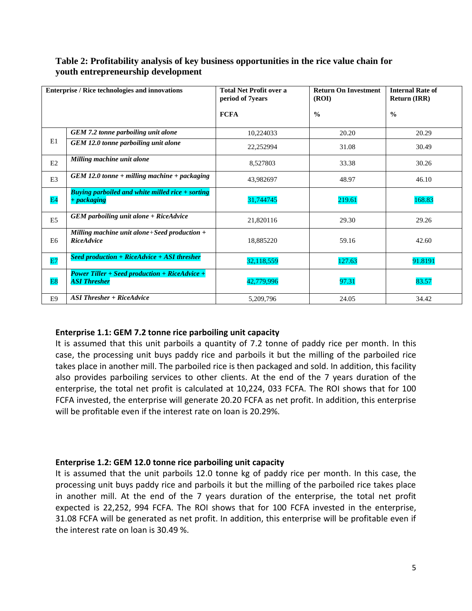| <b>Enterprise / Rice technologies and innovations</b> |                                                                             | <b>Total Net Profit over a</b><br>period of 7years | <b>Return On Investment</b><br>(ROI) | <b>Internal Rate of</b><br><b>Return (IRR)</b> |
|-------------------------------------------------------|-----------------------------------------------------------------------------|----------------------------------------------------|--------------------------------------|------------------------------------------------|
|                                                       |                                                                             | <b>FCFA</b>                                        | $\frac{0}{0}$                        | $\frac{0}{0}$                                  |
|                                                       | GEM 7.2 tonne parboiling unit alone                                         | 10,224033                                          | 20.20                                | 20.29                                          |
| E1                                                    | GEM 12.0 tonne parboiling unit alone                                        | 22,252994                                          | 31.08                                | 30.49                                          |
| E2                                                    | Milling machine unit alone                                                  | 8,527803                                           | 33.38                                | 30.26                                          |
| E <sub>3</sub>                                        | $GEM$ 12.0 tonne + milling machine + packaging                              | 43,982697                                          | 48.97                                | 46.10                                          |
| E4                                                    | <b>Buying parboiled and white milled rice + sorting</b><br>+ packaging      | 31,744745                                          | 219.61                               | 168.83                                         |
| E <sub>5</sub>                                        | $GEM$ parboiling unit alone $+$ RiceAdvice                                  | 21,820116                                          | 29.30                                | 29.26                                          |
| E6                                                    | Milling machine unit alone + Seed production +<br><b>RiceAdvice</b>         | 18,885220                                          | 59.16                                | 42.60                                          |
| E7                                                    | Seed production $+$ RiceAdvice $+$ ASI thresher                             | 32,118,559                                         | 127.63                               | 91.8191                                        |
| E8                                                    | <b>Power Tiller + Seed production + RiceAdvice +</b><br><b>ASI Thresher</b> | 42,779,996                                         | 97.31                                | 83.57                                          |
| E9                                                    | $ASI$ Thresher + RiceAdvice                                                 | 5,209,796                                          | 24.05                                | 34.42                                          |

#### **Table 2: Profitability analysis of key business opportunities in the rice value chain for youth entrepreneurship development**

#### **Enterprise 1.1: GEM 7.2 tonne rice parboiling unit capacity**

It is assumed that this unit parboils a quantity of 7.2 tonne of paddy rice per month. In this case, the processing unit buys paddy rice and parboils it but the milling of the parboiled rice takes place in another mill. The parboiled rice is then packaged and sold. In addition, this facility also provides parboiling services to other clients. At the end of the 7 years duration of the enterprise, the total net profit is calculated at 10,224, 033 FCFA. The ROI shows that for 100 FCFA invested, the enterprise will generate 20.20 FCFA as net profit. In addition, this enterprise will be profitable even if the interest rate on loan is 20.29%.

#### **Enterprise 1.2: GEM 12.0 tonne rice parboiling unit capacity**

It is assumed that the unit parboils 12.0 tonne kg of paddy rice per month. In this case, the processing unit buys paddy rice and parboils it but the milling of the parboiled rice takes place in another mill. At the end of the 7 years duration of the enterprise, the total net profit expected is 22,252, 994 FCFA. The ROI shows that for 100 FCFA invested in the enterprise, 31.08 FCFA will be generated as net profit. In addition, this enterprise will be profitable even if the interest rate on loan is 30.49 %.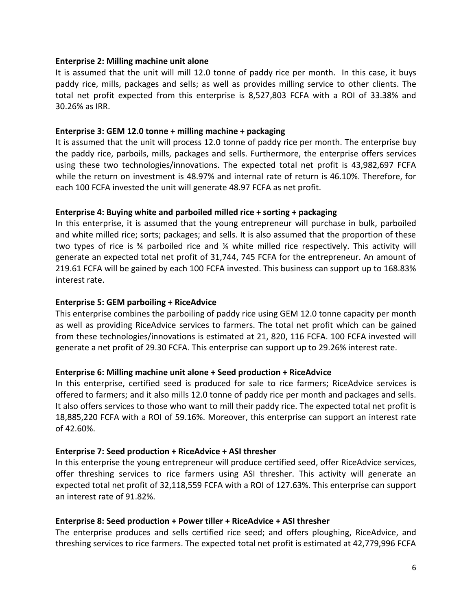#### **Enterprise 2: Milling machine unit alone**

It is assumed that the unit will mill 12.0 tonne of paddy rice per month. In this case, it buys paddy rice, mills, packages and sells; as well as provides milling service to other clients. The total net profit expected from this enterprise is 8,527,803 FCFA with a ROI of 33.38% and 30.26% as IRR.

#### **Enterprise 3: GEM 12.0 tonne + milling machine + packaging**

It is assumed that the unit will process 12.0 tonne of paddy rice per month. The enterprise buy the paddy rice, parboils, mills, packages and sells. Furthermore, the enterprise offers services using these two technologies/innovations. The expected total net profit is 43,982,697 FCFA while the return on investment is 48.97% and internal rate of return is 46.10%. Therefore, for each 100 FCFA invested the unit will generate 48.97 FCFA as net profit.

#### **Enterprise 4: Buying white and parboiled milled rice + sorting + packaging**

In this enterprise, it is assumed that the young entrepreneur will purchase in bulk, parboiled and white milled rice; sorts; packages; and sells. It is also assumed that the proportion of these two types of rice is  $\frac{3}{4}$  parboiled rice and  $\frac{7}{4}$  white milled rice respectively. This activity will generate an expected total net profit of 31,744, 745 FCFA for the entrepreneur. An amount of 219.61 FCFA will be gained by each 100 FCFA invested. This business can support up to 168.83% interest rate.

#### **Enterprise 5: GEM parboiling + RiceAdvice**

This enterprise combines the parboiling of paddy rice using GEM 12.0 tonne capacity per month as well as providing RiceAdvice services to farmers. The total net profit which can be gained from these technologies/innovations is estimated at 21, 820, 116 FCFA. 100 FCFA invested will generate a net profit of 29.30 FCFA. This enterprise can support up to 29.26% interest rate.

#### **Enterprise 6: Milling machine unit alone + Seed production + RiceAdvice**

In this enterprise, certified seed is produced for sale to rice farmers; RiceAdvice services is offered to farmers; and it also mills 12.0 tonne of paddy rice per month and packages and sells. It also offers services to those who want to mill their paddy rice. The expected total net profit is 18,885,220 FCFA with a ROI of 59.16%. Moreover, this enterprise can support an interest rate of 42.60%.

#### **Enterprise 7: Seed production + RiceAdvice + ASI thresher**

In this enterprise the young entrepreneur will produce certified seed, offer RiceAdvice services, offer threshing services to rice farmers using ASI thresher. This activity will generate an expected total net profit of 32,118,559 FCFA with a ROI of 127.63%. This enterprise can support an interest rate of 91.82%.

#### **Enterprise 8: Seed production + Power tiller + RiceAdvice + ASI thresher**

The enterprise produces and sells certified rice seed; and offers ploughing, RiceAdvice, and threshing services to rice farmers. The expected total net profit is estimated at 42,779,996 FCFA